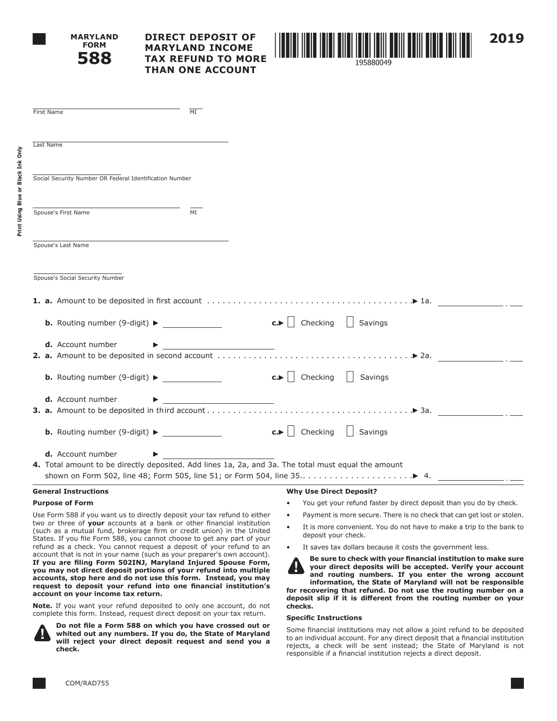

**Print Using Blue or Black Ink Only**

Print Using Blue or Black Ink Only

# **DIRECT DEPOSIT OF MARYLAND INCOME TAX REFUND TO MORE THAN ONE ACCOUNT**



| First Name                                                                                                                                                                                                                                                                                                                                                                                                                                                                                                                                                                                                                                                                                                                                                                | MT                                           |                                                                                                                                                                                                                                     |                                                                    |  |                                                                                                                                                                                                                                                                                                                    |
|---------------------------------------------------------------------------------------------------------------------------------------------------------------------------------------------------------------------------------------------------------------------------------------------------------------------------------------------------------------------------------------------------------------------------------------------------------------------------------------------------------------------------------------------------------------------------------------------------------------------------------------------------------------------------------------------------------------------------------------------------------------------------|----------------------------------------------|-------------------------------------------------------------------------------------------------------------------------------------------------------------------------------------------------------------------------------------|--------------------------------------------------------------------|--|--------------------------------------------------------------------------------------------------------------------------------------------------------------------------------------------------------------------------------------------------------------------------------------------------------------------|
| Last Name                                                                                                                                                                                                                                                                                                                                                                                                                                                                                                                                                                                                                                                                                                                                                                 |                                              |                                                                                                                                                                                                                                     |                                                                    |  |                                                                                                                                                                                                                                                                                                                    |
| Social Security Number OR Federal Identification Number                                                                                                                                                                                                                                                                                                                                                                                                                                                                                                                                                                                                                                                                                                                   |                                              |                                                                                                                                                                                                                                     |                                                                    |  |                                                                                                                                                                                                                                                                                                                    |
| Spouse's First Name                                                                                                                                                                                                                                                                                                                                                                                                                                                                                                                                                                                                                                                                                                                                                       | MI                                           |                                                                                                                                                                                                                                     |                                                                    |  |                                                                                                                                                                                                                                                                                                                    |
| Spouse's Last Name                                                                                                                                                                                                                                                                                                                                                                                                                                                                                                                                                                                                                                                                                                                                                        |                                              |                                                                                                                                                                                                                                     |                                                                    |  |                                                                                                                                                                                                                                                                                                                    |
| Spouse's Social Security Number                                                                                                                                                                                                                                                                                                                                                                                                                                                                                                                                                                                                                                                                                                                                           |                                              |                                                                                                                                                                                                                                     |                                                                    |  |                                                                                                                                                                                                                                                                                                                    |
| <b>1. a.</b> Amount to be deposited in first account $\ldots \ldots \ldots \ldots \ldots \ldots \ldots \ldots \ldots \ldots \qquad \blacktriangleright$ 1a.                                                                                                                                                                                                                                                                                                                                                                                                                                                                                                                                                                                                               |                                              |                                                                                                                                                                                                                                     |                                                                    |  |                                                                                                                                                                                                                                                                                                                    |
| <b>b.</b> Routing number (9-digit) $\blacktriangleright$                                                                                                                                                                                                                                                                                                                                                                                                                                                                                                                                                                                                                                                                                                                  |                                              | $\mathbf{c.}$   Checking   Savings                                                                                                                                                                                                  |                                                                    |  |                                                                                                                                                                                                                                                                                                                    |
| <b>d.</b> Account number<br><b>2. a.</b> Amount to be deposited in second account $\dots\dots\dots\dots\dots\dots\dots\dots\dots\dots\dots\dots\dots$                                                                                                                                                                                                                                                                                                                                                                                                                                                                                                                                                                                                                     |                                              |                                                                                                                                                                                                                                     |                                                                    |  |                                                                                                                                                                                                                                                                                                                    |
| <b>b.</b> Routing number (9-digit) $\blacktriangleright$                                                                                                                                                                                                                                                                                                                                                                                                                                                                                                                                                                                                                                                                                                                  |                                              | $\mathsf{c.}$   Checking $\Box$ Savings                                                                                                                                                                                             |                                                                    |  |                                                                                                                                                                                                                                                                                                                    |
| <b>d.</b> Account number                                                                                                                                                                                                                                                                                                                                                                                                                                                                                                                                                                                                                                                                                                                                                  | <u> 1980 - Andrea Andrew Maria (b. 1980)</u> |                                                                                                                                                                                                                                     |                                                                    |  |                                                                                                                                                                                                                                                                                                                    |
|                                                                                                                                                                                                                                                                                                                                                                                                                                                                                                                                                                                                                                                                                                                                                                           |                                              | $\mathsf{c.}$   Checking   Savings                                                                                                                                                                                                  |                                                                    |  |                                                                                                                                                                                                                                                                                                                    |
| <b>d.</b> Account number<br>4. Total amount to be directly deposited. Add lines 1a, 2a, and 3a. The total must equal the amount<br>shown on Form 502, line 48; Form 505, line 51; or Form 504, line 35▶ 4.                                                                                                                                                                                                                                                                                                                                                                                                                                                                                                                                                                |                                              |                                                                                                                                                                                                                                     |                                                                    |  |                                                                                                                                                                                                                                                                                                                    |
| <b>General Instructions</b>                                                                                                                                                                                                                                                                                                                                                                                                                                                                                                                                                                                                                                                                                                                                               |                                              | <b>Why Use Direct Deposit?</b>                                                                                                                                                                                                      |                                                                    |  |                                                                                                                                                                                                                                                                                                                    |
| <b>Purpose of Form</b>                                                                                                                                                                                                                                                                                                                                                                                                                                                                                                                                                                                                                                                                                                                                                    |                                              |                                                                                                                                                                                                                                     | You get your refund faster by direct deposit than you do by check. |  |                                                                                                                                                                                                                                                                                                                    |
| Use Form 588 if you want us to directly deposit your tax refund to either<br>two or three of your accounts at a bank or other financial institution<br>(such as a mutual fund, brokerage firm or credit union) in the United<br>States. If you file Form 588, you cannot choose to get any part of your<br>refund as a check. You cannot request a deposit of your refund to an<br>account that is not in your name (such as your preparer's own account).<br>If you are filing Form 502INJ, Maryland Injured Spouse Form,<br>you may not direct deposit portions of your refund into multiple<br>accounts, stop here and do not use this form. Instead, you may<br>request to deposit your refund into one financial institution's<br>account on your income tax return. |                                              | Payment is more secure. There is no check that can get lost or stolen.<br>It is more convenient. You do not have to make a trip to the bank to<br>deposit your check.<br>It saves tax dollars because it costs the government less. |                                                                    |  |                                                                                                                                                                                                                                                                                                                    |
|                                                                                                                                                                                                                                                                                                                                                                                                                                                                                                                                                                                                                                                                                                                                                                           |                                              |                                                                                                                                                                                                                                     |                                                                    |  | Be sure to check with your financial institution to make sure<br>your direct deposits will be accepted. Verify your account<br>and routing numbers. If you enter the wrong account<br>information, the State of Maryland will not be responsible<br>for recovering that refund. Do not use the routing number on a |

**Note.** If you want your refund deposited to only one account, do not complete this form. Instead, request direct deposit on your tax return.



 **Do not file a Form 588 on which you have crossed out or whited out any numbers. If you do, the State of Maryland will reject your direct deposit request and send you a check.** 

#### **Specific Instructions**

**checks.**

Some financial institutions may not allow a joint refund to be deposited to an individual account. For any direct deposit that a financial institution rejects, a check will be sent instead; the State of Maryland is not responsible if a financial institution rejects a direct deposit.

**deposit slip if it is different from the routing number on your**